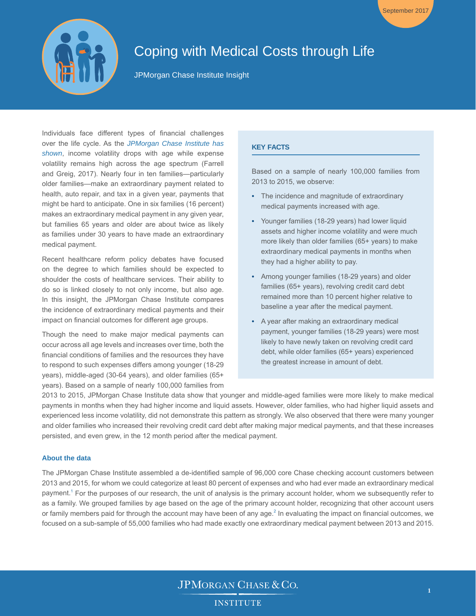

# Coping with Medical Costs through Life

JPMorgan Chase Institute Insight

Individuals face different types of financial challenges over the life cycle. As the *[JPMorgan Chase Institute has](https://www.jpmorganchase.com/content/dam/jpmorganchase/en/legacy/corporate/institute/document/institute-coping-with-costs-report.pdf)  [shown](https://www.jpmorganchase.com/content/dam/jpmorganchase/en/legacy/corporate/institute/document/institute-coping-with-costs-report.pdf)*, income volatility drops with age while expense volatility remains high across the age spectrum (Farrell and Greig, 2017). Nearly four in ten families—particularly older families—make an extraordinary payment related to health, auto repair, and tax in a given year, payments that might be hard to anticipate. One in six families (16 percent) makes an extraordinary medical payment in any given year, but families 65 years and older are about twice as likely as families under 30 years to have made an extraordinary medical payment.

Recent healthcare reform policy debates have focused on the degree to which families should be expected to shoulder the costs of healthcare services. Their ability to do so is linked closely to not only income, but also age. In this insight, the JPMorgan Chase Institute compares the incidence of extraordinary medical payments and their impact on financial outcomes for different age groups.

Though the need to make major medical payments can occur across all age levels and increases over time, both the financial conditions of families and the resources they have to respond to such expenses differs among younger (18-29 years), middle-aged (30-64 years), and older families (65+ years). Based on a sample of nearly 100,000 families from

## **KEY FACTS**

Based on a sample of nearly 100,000 families from 2013 to 2015, we observe:

September 2017

- The incidence and magnitude of extraordinary medical payments increased with age.
- Younger families (18-29 years) had lower liquid assets and higher income volatility and were much more likely than older families (65+ years) to make extraordinary medical payments in months when they had a higher ability to pay.
- Among younger families (18-29 years) and older families (65+ years), revolving credit card debt remained more than 10 percent higher relative to baseline a year after the medical payment.
- A year after making an extraordinary medical payment, younger families (18-29 years) were most likely to have newly taken on revolving credit card debt, while older families (65+ years) experienced the greatest increase in amount of debt.

2013 to 2015, JPMorgan Chase Institute data show that younger and middle-aged families were more likely to make medical payments in months when they had higher income and liquid assets. However, older families, who had higher liquid assets and experienced less income volatility, did not demonstrate this pattern as strongly. We also observed that there were many younger and older families who increased their revolving credit card debt after making major medical payments, and that these increases persisted, and even grew, in the 12 month period after the medical payment.

## **About the data**

The JPMorgan Chase Institute assembled a de-identified sample of 96,000 core Chase checking account customers between 2013 and 2015, for whom we could categorize at least 80 percent of expenses and who had ever made an extraordinary medical payment.<sup>[1](#page-6-0)</sup> For the purposes of our research, the unit of analysis is the primary account holder, whom we subsequently refer to as a family. We grouped families by age based on the age of the primary account holder, recognizing that other account users or family members paid for through the account may have been of any age.<sup>[2](#page-6-1)</sup> In evaluating the impact on financial outcomes, we focused on a sub-sample of 55,000 families who had made exactly one extraordinary medical payment between 2013 and 2015.

> **JPMORGAN CHASE & CO. INSTITUTE**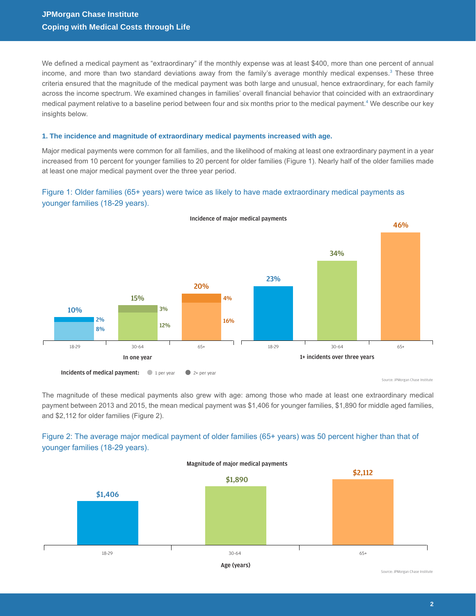We defined a medical payment as "extraordinary" if the monthly expense was at least \$400, more than one percent of annual income, and more than two standard deviations away from the family's average monthly medical expenses.<sup>[3](#page-6-2)</sup> These three criteria ensured that the magnitude of the medical payment was both large and unusual, hence extraordinary, for each family across the income spectrum. We examined changes in families' overall financial behavior that coincided with an extraordinary medical payment relative to a baseline period between four and six months prior to the medical payment.<sup>[4](#page-6-3)</sup> We describe our key insights below.

## **1. The incidence and magnitude of extraordinary medical payments increased with age.**

Major medical payments were common for all families, and the likelihood of making at least one extraordinary payment in a year increased from 10 percent for younger families to 20 percent for older families (Figure 1). Nearly half of the older families made at least one major medical payment over the three year period.

## Figure 1: Older families (65+ years) were twice as likely to have made extraordinary medical payments as younger families (18-29 years).



The magnitude of these medical payments also grew with age: among those who made at least one extraordinary medical payment between 2013 and 2015, the mean medical payment was \$1,406 for younger families, \$1,890 for middle aged families, and \$2,112 for older families (Figure 2).



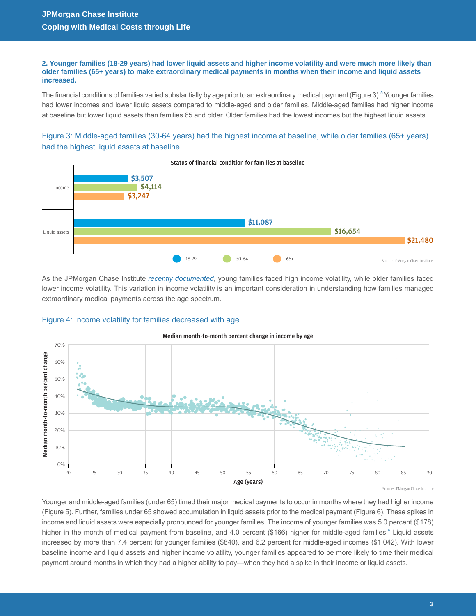**2. Younger families (18-29 years) had lower liquid assets and higher income volatility and were much more likely than older families (65+ years) to make extraordinary medical payments in months when their income and liquid assets increased.** 

The financial conditions of families varied substantially by age prior to an extraordinary medical payment (Figure 3).<sup>[5](#page-6-4)</sup> Younger families had lower incomes and lower liquid assets compared to middle-aged and older families. Middle-aged families had higher income at baseline but lower liquid assets than families 65 and older. Older families had the lowest incomes but the highest liquid assets.

Figure 3: Middle-aged families (30-64 years) had the highest income at baseline, while older families (65+ years) had the highest liquid assets at baseline.



As the JPMorgan Chase Institute *[recently documented](https://www.jpmorganchase.com/content/dam/jpmorganchase/en/legacy/corporate/institute/document/institute-coping-with-costs-report.pdf)*, young families faced high income volatility, while older families faced lower income volatility. This variation in income volatility is an important consideration in understanding how families managed extraordinary medical payments across the age spectrum.

### Figure 4: Income volatility for families decreased with age.



Median month-to-month percent change in income by age

Source: JPMorgan Chase Institute

Younger and middle-aged families (under 65) timed their major medical payments to occur in months where they had higher income (Figure 5). Further, families under 65 showed accumulation in liquid assets prior to the medical payment (Figure 6). These spikes in income and liquid assets were especially pronounced for younger families. The income of younger families was 5.0 percent (\$178) higher in the month of medical payment from baseline, and 4.0 percent (\$166) higher for middle-aged families.<sup>6</sup> Liquid assets increased by more than 7.4 percent for younger families (\$840), and 6.2 percent for middle-aged incomes (\$1,042). With lower baseline income and liquid assets and higher income volatility, younger families appeared to be more likely to time their medical payment around months in which they had a higher ability to pay—when they had a spike in their income or liquid assets.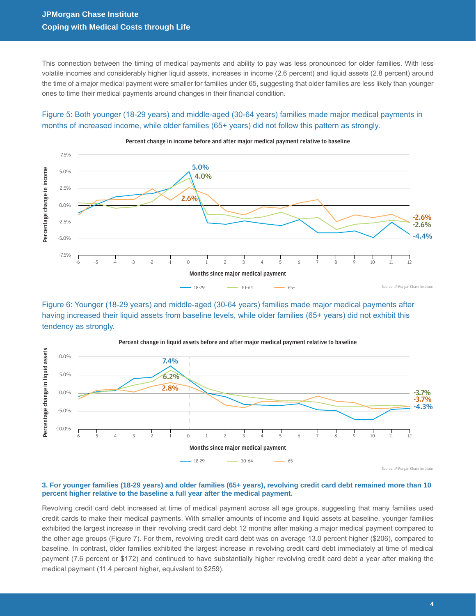This connection between the timing of medical payments and ability to pay was less pronounced for older families. With less volatile incomes and considerably higher liquid assets, increases in income (2.6 percent) and liquid assets (2.8 percent) around the time of a major medical payment were smaller for families under 65, suggesting that older families are less likely than younger ones to time their medical payments around changes in their financial condition.

## Figure 5: Both younger (18-29 years) and middle-aged (30-64 years) families made major medical payments in months of increased income, while older families (65+ years) did not follow this pattern as strongly.



Percent change in income before and after major medical payment relative to baseline

Figure 6: Younger (18-29 years) and middle-aged (30-64 years) families made major medical payments after having increased their liquid assets from baseline levels, while older families (65+ years) did not exhibit this tendency as strongly.



Percent change in liquid assets before and after major medical payment relative to baseline

#### **3. For younger families (18-29 years) and older families (65+ years), revolving credit card debt remained more than 10 percent higher relative to the baseline a full year after the medical payment.**

Revolving credit card debt increased at time of medical payment across all age groups, suggesting that many families used credit cards to make their medical payments. With smaller amounts of income and liquid assets at baseline, younger families exhibited the largest increase in their revolving credit card debt 12 months after making a major medical payment compared to the other age groups (Figure 7). For them, revolving credit card debt was on average 13.0 percent higher (\$206), compared to baseline. In contrast, older families exhibited the largest increase in revolving credit card debt immediately at time of medical payment (7.6 percent or \$172) and continued to have substantially higher revolving credit card debt a year after making the medical payment (11.4 percent higher, equivalent to \$259).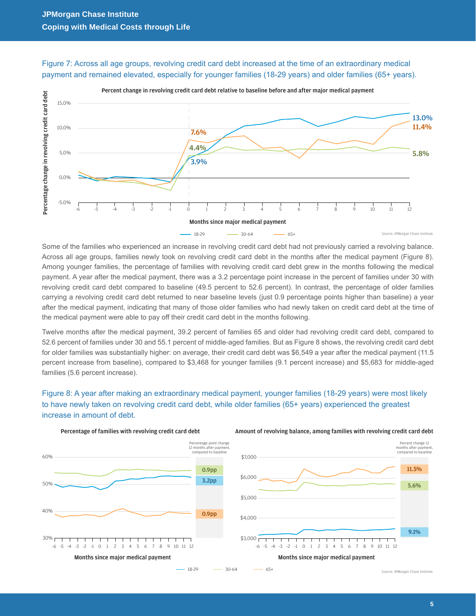



Some of the families who experienced an increase in revolving credit card debt had not previously carried a revolving balance. Across all age groups, families newly took on revolving credit card debt in the months after the medical payment (Figure 8). Among younger families, the percentage of families with revolving credit card debt grew in the months following the medical payment. A year after the medical payment, there was a 3.2 percentage point increase in the percent of families under 30 with revolving credit card debt compared to baseline (49.5 percent to 52.6 percent). In contrast, the percentage of older families carrying a revolving credit card debt returned to near baseline levels (just 0.9 percentage points higher than baseline) a year after the medical payment, indicating that many of those older families who had newly taken on credit card debt at the time of the medical payment were able to pay off their credit card debt in the months following.

Twelve months after the medical payment, 39.2 percent of families 65 and older had revolving credit card debt, compared to 52.6 percent of families under 30 and 55.1 percent of middle-aged families. But as Figure 8 shows, the revolving credit card debt for older families was substantially higher: on average, their credit card debt was \$6,549 a year after the medical payment (11.5 percent increase from baseline), compared to \$3,468 for younger families (9.1 percent increase) and \$5,683 for middle-aged families (5.6 percent increase).

# Figure 8: A year after making an extraordinary medical payment, younger families (18-29 years) were most likely to have newly taken on revolving credit card debt, while older families (65+ years) experienced the greatest increase in amount of debt.



Amount of revolving balance, among families with revolving credit card debt



Source: JPMorgan Chase Institute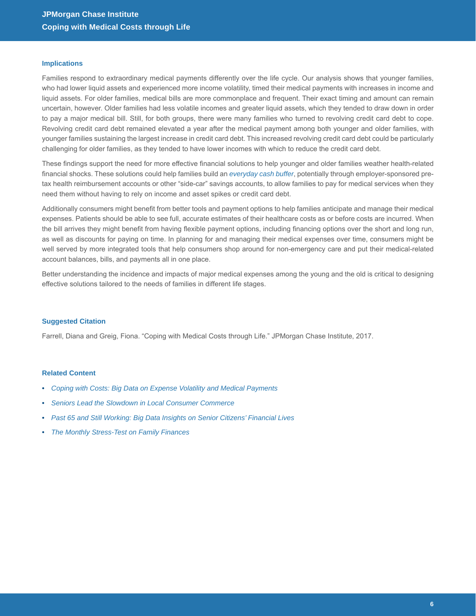#### **Implications**

Families respond to extraordinary medical payments differently over the life cycle. Our analysis shows that younger families, who had lower liquid assets and experienced more income volatility, timed their medical payments with increases in income and liquid assets. For older families, medical bills are more commonplace and frequent. Their exact timing and amount can remain uncertain, however. Older families had less volatile incomes and greater liquid assets, which they tended to draw down in order to pay a major medical bill. Still, for both groups, there were many families who turned to revolving credit card debt to cope. Revolving credit card debt remained elevated a year after the medical payment among both younger and older families, with younger families sustaining the largest increase in credit card debt. This increased revolving credit card debt could be particularly challenging for older families, as they tended to have lower incomes with which to reduce the credit card debt.

These findings support the need for more effective financial solutions to help younger and older families weather health-related financial shocks. These solutions could help families build an *[everyday cash buffer](https://www.jpmorganchase.com/corporate/institute/insight-financial-stress-test.htm)*, potentially through employer-sponsored pretax health reimbursement accounts or other "side-car" savings accounts, to allow families to pay for medical services when they need them without having to rely on income and asset spikes or credit card debt.

Additionally consumers might benefit from better tools and payment options to help families anticipate and manage their medical expenses. Patients should be able to see full, accurate estimates of their healthcare costs as or before costs are incurred. When the bill arrives they might benefit from having flexible payment options, including financing options over the short and long run, as well as discounts for paying on time. In planning for and managing their medical expenses over time, consumers might be well served by more integrated tools that help consumers shop around for non-emergency care and put their medical-related account balances, bills, and payments all in one place.

Better understanding the incidence and impacts of major medical expenses among the young and the old is critical to designing effective solutions tailored to the needs of families in different life stages.

#### **Suggested Citation**

Farrell, Diana and Greig, Fiona. "Coping with Medical Costs through Life." JPMorgan Chase Institute, 2017.

#### **Related Content**

- *[Coping with Costs: Big Data on Expense Volatility and Medical Payments](https://www.jpmorganchase.com/content/dam/jpmorganchase/en/legacy/corporate/institute/document/institute-coping-with-costs-report.pdf)*
- *[Seniors Lead the Slowdown in Local Consumer Commerce](https://www.jpmorganchase.com/corporate/institute/insight-deceleration-in-lcc.htm)*
- *[Past 65 and Still Working: Big Data Insights on Senior Citizens' Financial Lives](https://www.jpmorganchase.com/corporate/institute/insight-past-65-and-still-working.htm)*
- *[The Monthly Stress-Test on Family Finances](https://www.jpmorganchase.com/corporate/institute/insight-financial-stress-test.htm)*